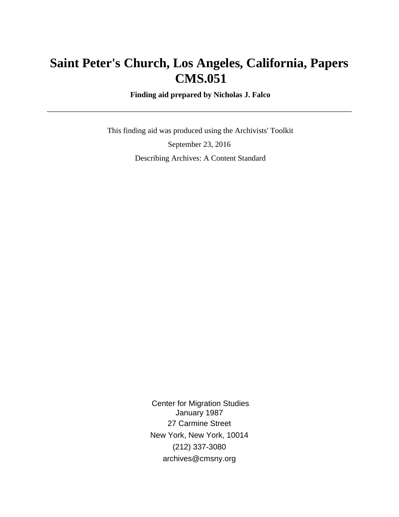# **Saint Peter's Church, Los Angeles, California, Papers CMS.051**

 **Finding aid prepared by Nicholas J. Falco**

 This finding aid was produced using the Archivists' Toolkit September 23, 2016 Describing Archives: A Content Standard

> Center for Migration Studies January 1987 27 Carmine Street New York, New York, 10014 (212) 337-3080 archives@cmsny.org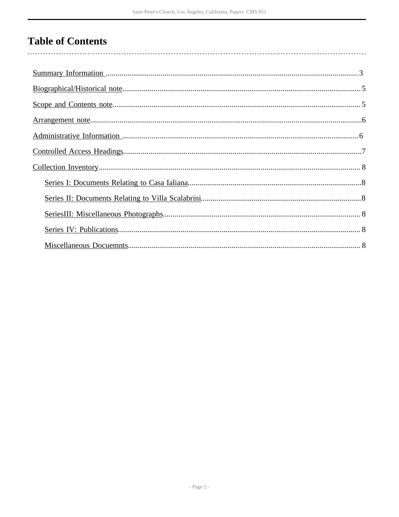# **Table of Contents**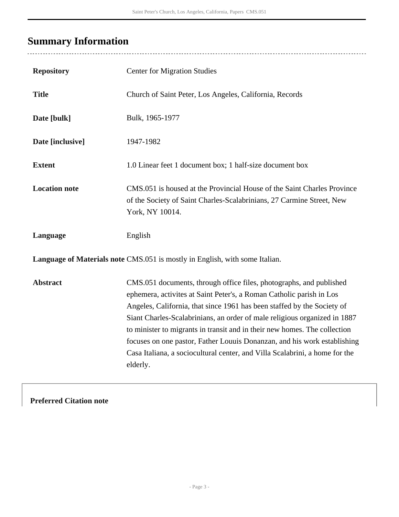# <span id="page-2-0"></span>**Summary Information**

........................

| <b>Repository</b>                                                           | <b>Center for Migration Studies</b>                                                                                                                                                                                                                                                                                                                                                                                                                                                                                                                     |  |  |  |
|-----------------------------------------------------------------------------|---------------------------------------------------------------------------------------------------------------------------------------------------------------------------------------------------------------------------------------------------------------------------------------------------------------------------------------------------------------------------------------------------------------------------------------------------------------------------------------------------------------------------------------------------------|--|--|--|
| <b>Title</b>                                                                | Church of Saint Peter, Los Angeles, California, Records                                                                                                                                                                                                                                                                                                                                                                                                                                                                                                 |  |  |  |
| Date [bulk]                                                                 | Bulk, 1965-1977                                                                                                                                                                                                                                                                                                                                                                                                                                                                                                                                         |  |  |  |
| Date [inclusive]                                                            | 1947-1982                                                                                                                                                                                                                                                                                                                                                                                                                                                                                                                                               |  |  |  |
| <b>Extent</b>                                                               | 1.0 Linear feet 1 document box; 1 half-size document box                                                                                                                                                                                                                                                                                                                                                                                                                                                                                                |  |  |  |
| <b>Location note</b>                                                        | CMS.051 is housed at the Provincial House of the Saint Charles Province<br>of the Society of Saint Charles-Scalabrinians, 27 Carmine Street, New<br>York, NY 10014.                                                                                                                                                                                                                                                                                                                                                                                     |  |  |  |
| Language                                                                    | English                                                                                                                                                                                                                                                                                                                                                                                                                                                                                                                                                 |  |  |  |
| Language of Materials note CMS.051 is mostly in English, with some Italian. |                                                                                                                                                                                                                                                                                                                                                                                                                                                                                                                                                         |  |  |  |
| <b>Abstract</b>                                                             | CMS.051 documents, through office files, photographs, and published<br>ephemera, activites at Saint Peter's, a Roman Catholic parish in Los<br>Angeles, California, that since 1961 has been staffed by the Society of<br>Siant Charles-Scalabrinians, an order of male religious organized in 1887<br>to minister to migrants in transit and in their new homes. The collection<br>focuses on one pastor, Father Louuis Donanzan, and his work establishing<br>Casa Italiana, a sociocultural center, and Villa Scalabrini, a home for the<br>elderly. |  |  |  |

**Preferred Citation note**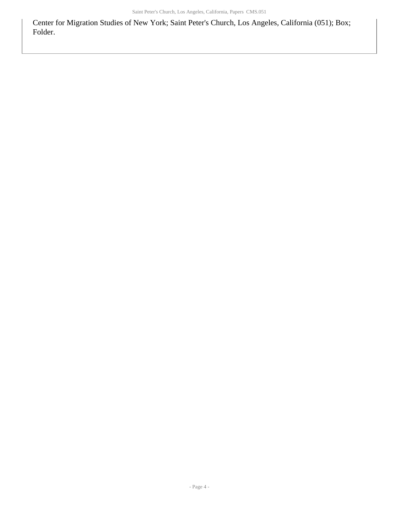Center for Migration Studies of New York; Saint Peter's Church, Los Angeles, California (051); Box; Folder.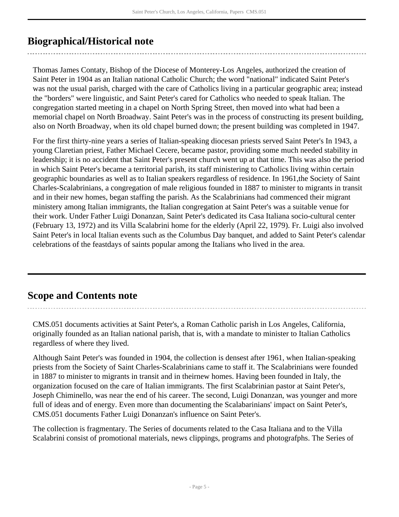## <span id="page-4-0"></span>**Biographical/Historical note**

Thomas James Contaty, Bishop of the Diocese of Monterey-Los Angeles, authorized the creation of Saint Peter in 1904 as an Italian national Catholic Church; the word "national" indicated Saint Peter's was not the usual parish, charged with the care of Catholics living in a particular geographic area; instead the "borders" were linguistic, and Saint Peter's cared for Catholics who needed to speak Italian. The congregation started meeting in a chapel on North Spring Street, then moved into what had been a memorial chapel on North Broadway. Saint Peter's was in the process of constructing its present building, also on North Broadway, when its old chapel burned down; the present building was completed in 1947.

For the first thirty-nine years a series of Italian-speaking diocesan priests served Saint Peter's In 1943, a young Claretian priest, Father Michael Cecere, became pastor, providing some much needed stability in leadership; it is no accident that Saint Peter's present church went up at that time. This was also the period in which Saint Peter's became a territorial parish, its staff ministering to Catholics living within certain geographic boundaries as well as to Italian speakers regardless of residence. In 1961,the Society of Saint Charles-Scalabrinians, a congregation of male religious founded in 1887 to minister to migrants in transit and in their new homes, began staffing the parish. As the Scalabrinians had commenced their migrant ministery among Italian immigrants, the Italian congregation at Saint Peter's was a suitable venue for their work. Under Father Luigi Donanzan, Saint Peter's dedicated its Casa Italiana socio-cultural center (February 13, 1972) and its Villa Scalabrini home for the elderly (April 22, 1979). Fr. Luigi also involved Saint Peter's in local Italian events such as the Columbus Day banquet, and added to Saint Peter's calendar celebrations of the feastdays of saints popular among the Italians who lived in the area.

## <span id="page-4-1"></span>**Scope and Contents note**

CMS.051 documents activities at Saint Peter's, a Roman Catholic parish in Los Angeles, California, originally founded as an Italian national parish, that is, with a mandate to minister to Italian Catholics regardless of where they lived.

Although Saint Peter's was founded in 1904, the collection is densest after 1961, when Italian-speaking priests from the Society of Saint Charles-Scalabrinians came to staff it. The Scalabrinians were founded in 1887 to minister to migrants in transit and in theirnew homes. Having been founded in Italy, the organization focused on the care of Italian immigrants. The first Scalabrinian pastor at Saint Peter's, Joseph Chiminello, was near the end of his career. The second, Luigi Donanzan, was younger and more full of ideas and of energy. Even more than documenting the Scalabarinians' impact on Saint Peter's, CMS.051 documents Father Luigi Donanzan's influence on Saint Peter's.

The collection is fragmentary. The Series of documents related to the Casa Italiana and to the Villa Scalabrini consist of promotional materials, news clippings, programs and photografphs. The Series of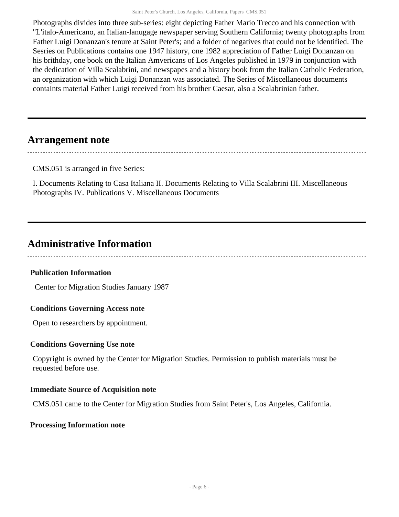Photographs divides into three sub-series: eight depicting Father Mario Trecco and his connection with "L'italo-Americano, an Italian-lanugage newspaper serving Southern California; twenty photographs from Father Luigi Donanzan's tenure at Saint Peter's; and a folder of negatives that could not be identified. The Sesries on Publications contains one 1947 history, one 1982 appreciation of Father Luigi Donanzan on his brithday, one book on the Italian Amvericans of Los Angeles published in 1979 in conjunction with the dedication of Villa Scalabrini, and newspapes and a history book from the Italian Catholic Federation, an organization with which Luigi Donanzan was associated. The Series of Miscellaneous documents containts material Father Luigi received from his brother Caesar, also a Scalabrinian father.

### <span id="page-5-0"></span>**Arrangement note**

CMS.051 is arranged in five Series:

I. Documents Relating to Casa Italiana II. Documents Relating to Villa Scalabrini III. Miscellaneous Photographs IV. Publications V. Miscellaneous Documents

### <span id="page-5-1"></span>**Administrative Information**

#### **Publication Information**

Center for Migration Studies January 1987

#### **Conditions Governing Access note**

Open to researchers by appointment.

#### **Conditions Governing Use note**

Copyright is owned by the Center for Migration Studies. Permission to publish materials must be requested before use.

#### **Immediate Source of Acquisition note**

CMS.051 came to the Center for Migration Studies from Saint Peter's, Los Angeles, California.

#### **Processing Information note**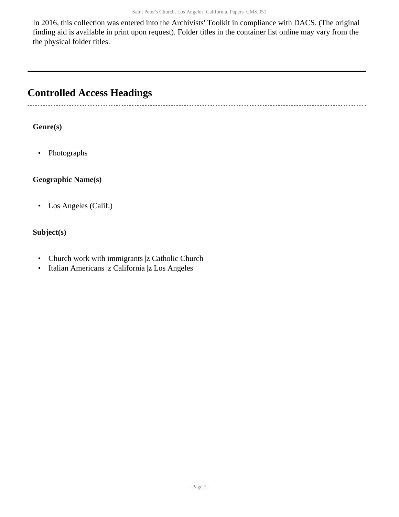In 2016, this collection was entered into the Archivists' Toolkit in compliance with DACS. (The original finding aid is available in print upon request). Folder titles in the container list online may vary from the the physical folder titles.

## <span id="page-6-0"></span>**Controlled Access Headings**

#### **Genre(s)**

• Photographs

#### **Geographic Name(s)**

• Los Angeles (Calif.)

#### **Subject(s)**

- Church work with immigrants |z Catholic Church
- Italian Americans |z California |z Los Angeles